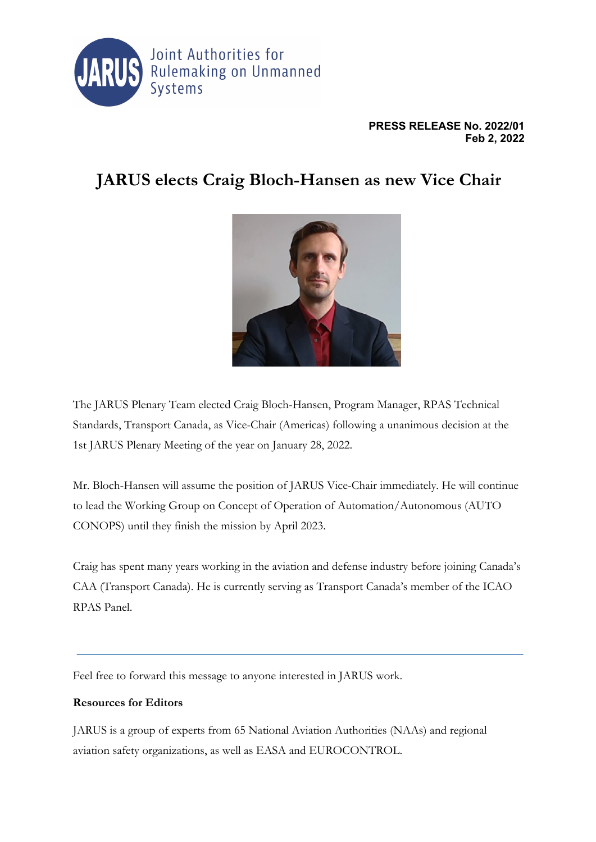

## **PRESS RELEASE No. 2022/01 Feb 2, 2022**

## **JARUS elects Craig Bloch-Hansen as new Vice Chair**



The JARUS Plenary Team elected Craig Bloch-Hansen, Program Manager, RPAS Technical Standards, Transport Canada, as Vice-Chair (Americas) following a unanimous decision at the 1st JARUS Plenary Meeting of the year on January 28, 2022.

Mr. Bloch-Hansen will assume the position of JARUS Vice-Chair immediately. He will continue to lead the Working Group on Concept of Operation of Automation/Autonomous (AUTO CONOPS) until they finish the mission by April 2023.

Craig has spent many years working in the aviation and defense industry before joining Canada's CAA (Transport Canada). He is currently serving as Transport Canada's member of the ICAO RPAS Panel.

Feel free to forward this message to anyone interested in JARUS work.

## **Resources for Editors**

JARUS is a group of experts from 65 National Aviation Authorities (NAAs) and regional aviation safety organizations, as well as EASA and EUROCONTROL.